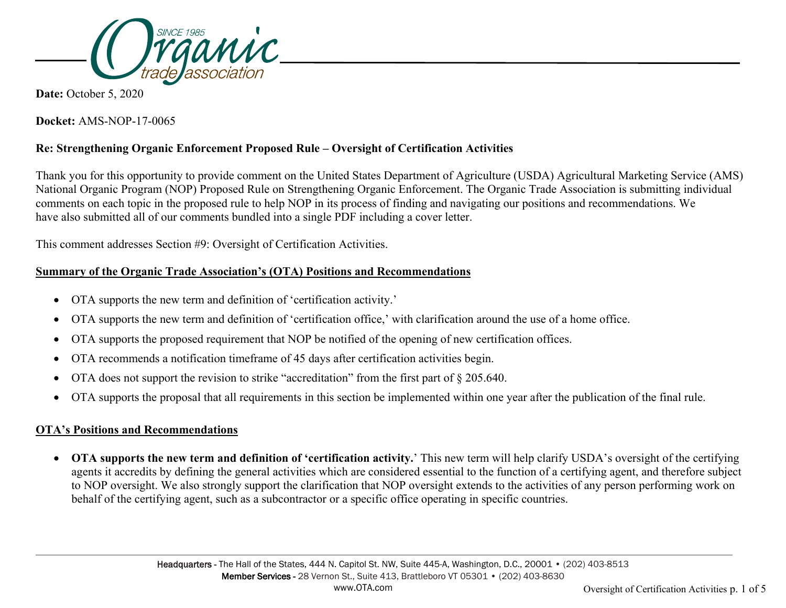

**Date:** October 5, 2020

**Docket:** AMS-NOP-17-0065

## **Re: Strengthening Organic Enforcement Proposed Rule – Oversight of Certification Activities**

Thank you for this opportunity to provide comment on the United States Department of Agriculture (USDA) Agricultural Marketing Service (AMS) National Organic Program (NOP) Proposed Rule on Strengthening Organic Enforcement. The Organic Trade Association is submitting individual comments on each topic in the proposed rule to help NOP in its process of finding and navigating our positions and recommendations. We have also submitted all of our comments bundled into a single PDF including a cover letter.

This comment addresses Section #9: Oversight of Certification Activities.

## **Summary of the Organic Trade Association's (OTA) Positions and Recommendations**

- OTA supports the new term and definition of 'certification activity.'
- OTA supports the new term and definition of 'certification office,' with clarification around the use of a home office.
- OTA supports the proposed requirement that NOP be notified of the opening of new certification offices.
- OTA recommends a notification timeframe of 45 days after certification activities begin.
- OTA does not support the revision to strike "accreditation" from the first part of  $\S 205.640$ .
- OTA supports the proposal that all requirements in this section be implemented within one year after the publication of the final rule.

## **OTA's Positions and Recommendations**

• **OTA supports the new term and definition of 'certification activity.**' This new term will help clarify USDA's oversight of the certifying agents it accredits by defining the general activities which are considered essential to the function of a certifying agent, and therefore subject to NOP oversight. We also strongly support the clarification that NOP oversight extends to the activities of any person performing work on behalf of the certifying agent, such as a subcontractor or a specific office operating in specific countries.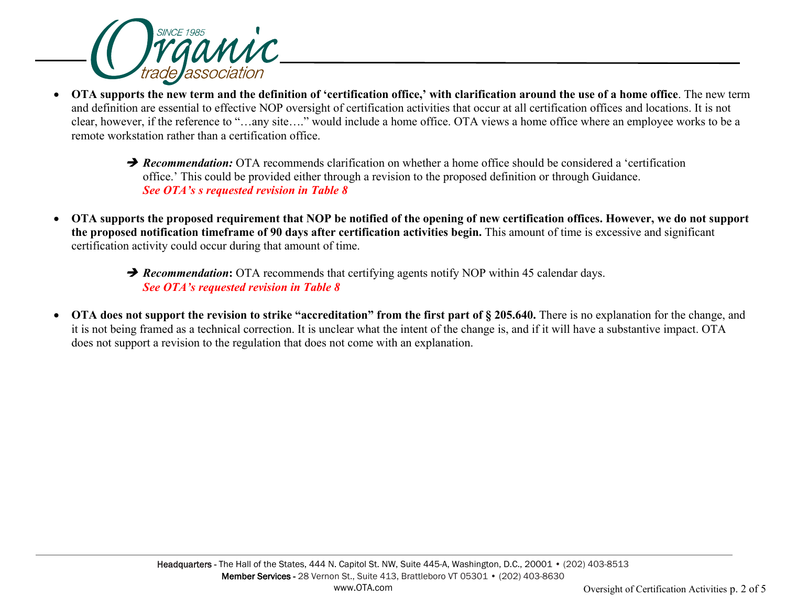

- **OTA supports the new term and the definition of 'certification office,' with clarification around the use of a home office**. The new term and definition are essential to effective NOP oversight of certification activities that occur at all certification offices and locations. It is not clear, however, if the reference to "…any site…." would include a home office. OTA views a home office where an employee works to be a remote workstation rather than a certification office.
	- **P** Recommendation: OTA recommends clarification on whether a home office should be considered a 'certification office.' This could be provided either through a revision to the proposed definition or through Guidance. *See OTA's s requested revision in Table 8*
- **OTA supports the proposed requirement that NOP be notified of the opening of new certification offices. However, we do not support the proposed notification timeframe of 90 days after certification activities begin.** This amount of time is excessive and significant certification activity could occur during that amount of time.
	- **P** Recommendation: OTA recommends that certifying agents notify NOP within 45 calendar days. *See OTA's requested revision in Table 8*
- **OTA does not support the revision to strike "accreditation" from the first part of § 205.640.** There is no explanation for the change, and it is not being framed as a technical correction. It is unclear what the intent of the change is, and if it will have a substantive impact. OTA does not support a revision to the regulation that does not come with an explanation.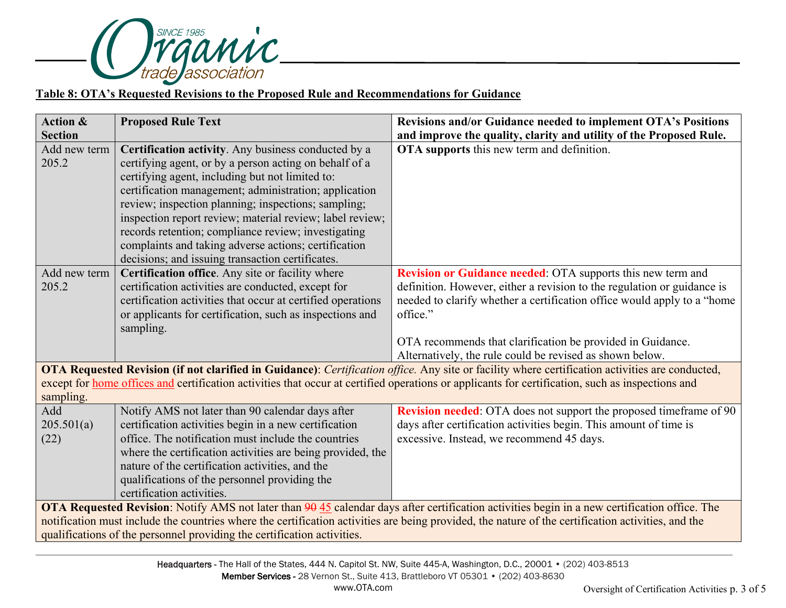

## **Table 8: OTA's Requested Revisions to the Proposed Rule and Recommendations for Guidance**

| <b>Action &amp;</b>                                                                                                                                | <b>Proposed Rule Text</b>                                                                                                                                                                                                                                                          | Revisions and/or Guidance needed to implement OTA's Positions                                                                                   |  |  |
|----------------------------------------------------------------------------------------------------------------------------------------------------|------------------------------------------------------------------------------------------------------------------------------------------------------------------------------------------------------------------------------------------------------------------------------------|-------------------------------------------------------------------------------------------------------------------------------------------------|--|--|
| <b>Section</b>                                                                                                                                     |                                                                                                                                                                                                                                                                                    | and improve the quality, clarity and utility of the Proposed Rule.                                                                              |  |  |
| Add new term<br>205.2                                                                                                                              | Certification activity. Any business conducted by a<br>certifying agent, or by a person acting on behalf of a<br>certifying agent, including but not limited to:<br>certification management; administration; application                                                          | OTA supports this new term and definition.                                                                                                      |  |  |
|                                                                                                                                                    | review; inspection planning; inspections; sampling;<br>inspection report review; material review; label review;<br>records retention; compliance review; investigating<br>complaints and taking adverse actions; certification<br>decisions; and issuing transaction certificates. |                                                                                                                                                 |  |  |
| Add new term                                                                                                                                       | Certification office. Any site or facility where                                                                                                                                                                                                                                   | <b>Revision or Guidance needed: OTA supports this new term and</b>                                                                              |  |  |
| 205.2                                                                                                                                              | certification activities are conducted, except for                                                                                                                                                                                                                                 | definition. However, either a revision to the regulation or guidance is                                                                         |  |  |
|                                                                                                                                                    | certification activities that occur at certified operations                                                                                                                                                                                                                        | needed to clarify whether a certification office would apply to a "home                                                                         |  |  |
|                                                                                                                                                    | or applicants for certification, such as inspections and                                                                                                                                                                                                                           | office."                                                                                                                                        |  |  |
|                                                                                                                                                    | sampling.                                                                                                                                                                                                                                                                          |                                                                                                                                                 |  |  |
|                                                                                                                                                    |                                                                                                                                                                                                                                                                                    | OTA recommends that clarification be provided in Guidance.                                                                                      |  |  |
|                                                                                                                                                    |                                                                                                                                                                                                                                                                                    | Alternatively, the rule could be revised as shown below.                                                                                        |  |  |
|                                                                                                                                                    |                                                                                                                                                                                                                                                                                    | OTA Requested Revision (if not clarified in Guidance): Certification office. Any site or facility where certification activities are conducted, |  |  |
| except for home offices and certification activities that occur at certified operations or applicants for certification, such as inspections and   |                                                                                                                                                                                                                                                                                    |                                                                                                                                                 |  |  |
| sampling.                                                                                                                                          |                                                                                                                                                                                                                                                                                    |                                                                                                                                                 |  |  |
| Add                                                                                                                                                | Notify AMS not later than 90 calendar days after                                                                                                                                                                                                                                   | Revision needed: OTA does not support the proposed timeframe of 90                                                                              |  |  |
| 205.501(a)                                                                                                                                         | certification activities begin in a new certification                                                                                                                                                                                                                              | days after certification activities begin. This amount of time is                                                                               |  |  |
| (22)                                                                                                                                               | office. The notification must include the countries                                                                                                                                                                                                                                | excessive. Instead, we recommend 45 days.                                                                                                       |  |  |
|                                                                                                                                                    | where the certification activities are being provided, the                                                                                                                                                                                                                         |                                                                                                                                                 |  |  |
|                                                                                                                                                    | nature of the certification activities, and the                                                                                                                                                                                                                                    |                                                                                                                                                 |  |  |
|                                                                                                                                                    | qualifications of the personnel providing the                                                                                                                                                                                                                                      |                                                                                                                                                 |  |  |
|                                                                                                                                                    | certification activities.                                                                                                                                                                                                                                                          |                                                                                                                                                 |  |  |
| OTA Requested Revision: Notify AMS not later than 90 45 calendar days after certification activities begin in a new certification office. The      |                                                                                                                                                                                                                                                                                    |                                                                                                                                                 |  |  |
| notification must include the countries where the certification activities are being provided, the nature of the certification activities, and the |                                                                                                                                                                                                                                                                                    |                                                                                                                                                 |  |  |
| qualifications of the personnel providing the certification activities.                                                                            |                                                                                                                                                                                                                                                                                    |                                                                                                                                                 |  |  |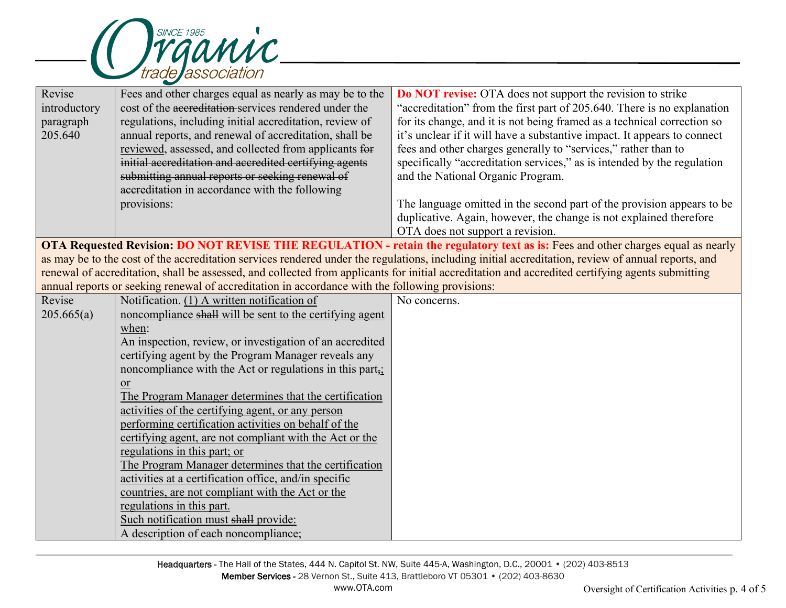

| Revise                                                                                                                                             | Fees and other charges equal as nearly as may be to the                                         | <b>Do NOT revise:</b> OTA does not support the revision to strike                                                                                |  |  |
|----------------------------------------------------------------------------------------------------------------------------------------------------|-------------------------------------------------------------------------------------------------|--------------------------------------------------------------------------------------------------------------------------------------------------|--|--|
| introductory                                                                                                                                       | cost of the accreditation services rendered under the                                           | "accreditation" from the first part of 205.640. There is no explanation                                                                          |  |  |
| paragraph                                                                                                                                          | regulations, including initial accreditation, review of                                         | for its change, and it is not being framed as a technical correction so                                                                          |  |  |
| 205.640                                                                                                                                            | annual reports, and renewal of accreditation, shall be                                          | it's unclear if it will have a substantive impact. It appears to connect                                                                         |  |  |
|                                                                                                                                                    | reviewed, assessed, and collected from applicants for                                           | fees and other charges generally to "services," rather than to                                                                                   |  |  |
|                                                                                                                                                    | initial accreditation and accredited certifying agents                                          | specifically "accreditation services," as is intended by the regulation                                                                          |  |  |
|                                                                                                                                                    | submitting annual reports or seeking renewal of                                                 | and the National Organic Program.                                                                                                                |  |  |
|                                                                                                                                                    | accreditation in accordance with the following                                                  |                                                                                                                                                  |  |  |
|                                                                                                                                                    | provisions:                                                                                     | The language omitted in the second part of the provision appears to be                                                                           |  |  |
|                                                                                                                                                    |                                                                                                 | duplicative. Again, however, the change is not explained therefore                                                                               |  |  |
|                                                                                                                                                    |                                                                                                 | OTA does not support a revision.                                                                                                                 |  |  |
| OTA Requested Revision: DO NOT REVISE THE REGULATION - retain the regulatory text as is: Fees and other charges equal as nearly                    |                                                                                                 |                                                                                                                                                  |  |  |
| as may be to the cost of the accreditation services rendered under the regulations, including initial accreditation, review of annual reports, and |                                                                                                 |                                                                                                                                                  |  |  |
|                                                                                                                                                    |                                                                                                 | renewal of accreditation, shall be assessed, and collected from applicants for initial accreditation and accredited certifying agents submitting |  |  |
|                                                                                                                                                    | annual reports or seeking renewal of accreditation in accordance with the following provisions: |                                                                                                                                                  |  |  |
| Revise                                                                                                                                             | Notification. (1) A written notification of                                                     | No concerns.                                                                                                                                     |  |  |
| 205.665(a)                                                                                                                                         | noncompliance shall will be sent to the certifying agent                                        |                                                                                                                                                  |  |  |
|                                                                                                                                                    | when:                                                                                           |                                                                                                                                                  |  |  |
|                                                                                                                                                    | An inspection, review, or investigation of an accredited                                        |                                                                                                                                                  |  |  |
|                                                                                                                                                    | certifying agent by the Program Manager reveals any                                             |                                                                                                                                                  |  |  |
|                                                                                                                                                    | noncompliance with the Act or regulations in this part,;                                        |                                                                                                                                                  |  |  |
|                                                                                                                                                    | <sub>or</sub>                                                                                   |                                                                                                                                                  |  |  |
|                                                                                                                                                    | The Program Manager determines that the certification                                           |                                                                                                                                                  |  |  |
|                                                                                                                                                    | activities of the certifying agent, or any person                                               |                                                                                                                                                  |  |  |
|                                                                                                                                                    | performing certification activities on behalf of the                                            |                                                                                                                                                  |  |  |
|                                                                                                                                                    | certifying agent, are not compliant with the Act or the                                         |                                                                                                                                                  |  |  |
|                                                                                                                                                    | regulations in this part; or                                                                    |                                                                                                                                                  |  |  |
|                                                                                                                                                    | The Program Manager determines that the certification                                           |                                                                                                                                                  |  |  |
|                                                                                                                                                    | activities at a certification office, and/in specific                                           |                                                                                                                                                  |  |  |
|                                                                                                                                                    | countries, are not compliant with the Act or the                                                |                                                                                                                                                  |  |  |
|                                                                                                                                                    | regulations in this part.                                                                       |                                                                                                                                                  |  |  |
|                                                                                                                                                    | Such notification must shall provide:                                                           |                                                                                                                                                  |  |  |
|                                                                                                                                                    | A description of each noncompliance;                                                            |                                                                                                                                                  |  |  |